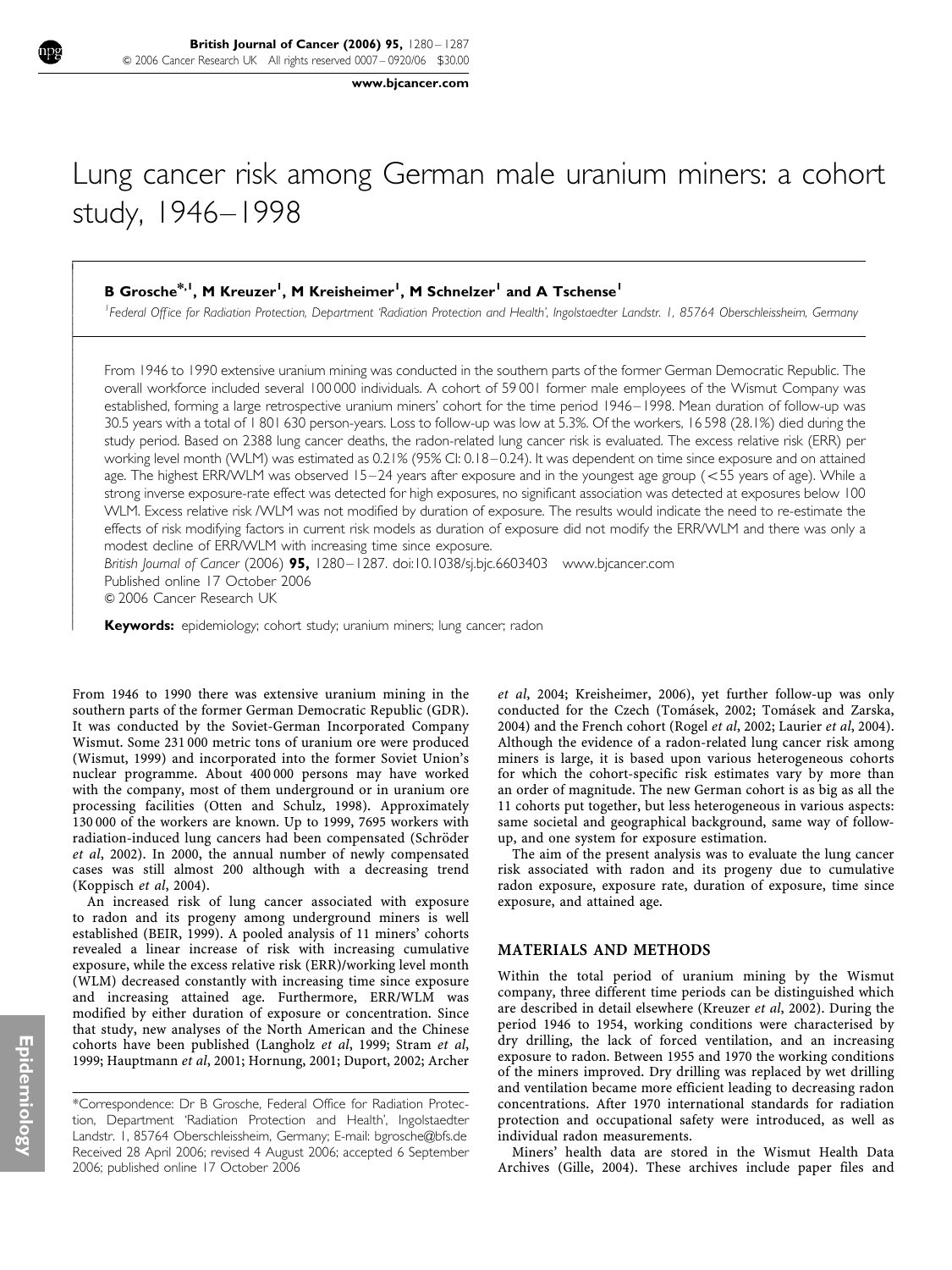www.bjcancer.com

# Lung cancer risk among German male uranium miners: a cohort study, 1946–1998

# B Grosche $^{\ast, \mathsf{l}}$ , M Kreuzer<sup>1</sup>, M Kreisheimer<sup>1</sup>, M Schnelzer<sup>1</sup> and A Tschense<sup>1</sup>

<sup>1</sup> Federal Office for Radiation Protection, Department 'Radiation Protection and Health', Ingolstaedter Landstr. 1, 85764 Oberschleissheim, Germany

From 1946 to 1990 extensive uranium mining was conducted in the southern parts of the former German Democratic Republic. The overall workforce included several 100 000 individuals. A cohort of 59 001 former male employees of the Wismut Company was established, forming a large retrospective uranium miners' cohort for the time period 1946–1998. Mean duration of follow-up was 30.5 years with a total of 1 801 630 person-years. Loss to follow-up was low at 5.3%. Of the workers, 16 598 (28.1%) died during the study period. Based on 2388 lung cancer deaths, the radon-related lung cancer risk is evaluated. The excess relative risk (ERR) per working level month (WLM) was estimated as 0.21% (95% CI: 0.18–0.24). It was dependent on time since exposure and on attained age. The highest ERR/WLM was observed 15–24 years after exposure and in the youngest age group (<55 years of age). While a strong inverse exposure-rate effect was detected for high exposures, no significant association was detected at exposures below 100 WLM. Excess relative risk /WLM was not modified by duration of exposure. The results would indicate the need to re-estimate the effects of risk modifying factors in current risk models as duration of exposure did not modify the ERR/WLM and there was only a modest decline of ERR/WLM with increasing time since exposure.

British Journal of Cancer (2006) 95, 1280–1287. doi:10.1038/sj.bjc.6603403 www.bjcancer.com Published online 17 October 2006 & 2006 Cancer Research UK

Keywords: epidemiology; cohort study; uranium miners; lung cancer; radon

From 1946 to 1990 there was extensive uranium mining in the southern parts of the former German Democratic Republic (GDR). It was conducted by the Soviet-German Incorporated Company Wismut. Some 231 000 metric tons of uranium ore were produced (Wismut, 1999) and incorporated into the former Soviet Union's nuclear programme. About 400 000 persons may have worked with the company, most of them underground or in uranium ore processing facilities (Otten and Schulz, 1998). Approximately 130 000 of the workers are known. Up to 1999, 7695 workers with radiation-induced lung cancers had been compensated (Schröder et al, 2002). In 2000, the annual number of newly compensated cases was still almost 200 although with a decreasing trend (Koppisch et al, 2004).

An increased risk of lung cancer associated with exposure to radon and its progeny among underground miners is well established (BEIR, 1999). A pooled analysis of 11 miners' cohorts revealed a linear increase of risk with increasing cumulative exposure, while the excess relative risk (ERR)/working level month (WLM) decreased constantly with increasing time since exposure and increasing attained age. Furthermore, ERR/WLM was modified by either duration of exposure or concentration. Since that study, new analyses of the North American and the Chinese cohorts have been published (Langholz et al, 1999; Stram et al, 1999; Hauptmann et al, 2001; Hornung, 2001; Duport, 2002; Archer

et al, 2004; Kreisheimer, 2006), yet further follow-up was only conducted for the Czech (Toma´sek, 2002; Toma´sek and Zarska, 2004) and the French cohort (Rogel et al, 2002; Laurier et al, 2004). Although the evidence of a radon-related lung cancer risk among miners is large, it is based upon various heterogeneous cohorts for which the cohort-specific risk estimates vary by more than an order of magnitude. The new German cohort is as big as all the 11 cohorts put together, but less heterogeneous in various aspects: same societal and geographical background, same way of followup, and one system for exposure estimation.

The aim of the present analysis was to evaluate the lung cancer risk associated with radon and its progeny due to cumulative radon exposure, exposure rate, duration of exposure, time since exposure, and attained age.

#### MATERIALS AND METHODS

Within the total period of uranium mining by the Wismut company, three different time periods can be distinguished which are described in detail elsewhere (Kreuzer et al, 2002). During the period 1946 to 1954, working conditions were characterised by dry drilling, the lack of forced ventilation, and an increasing exposure to radon. Between 1955 and 1970 the working conditions of the miners improved. Dry drilling was replaced by wet drilling and ventilation became more efficient leading to decreasing radon concentrations. After 1970 international standards for radiation protection and occupational safety were introduced, as well as individual radon measurements.

Miners' health data are stored in the Wismut Health Data Archives (Gille, 2004). These archives include paper files and

 $\overline{1}$ I I I I I ļ ľ

ł I I I I

I I I I ł

ł I I I I

Received 28 April 2006; revised 4 August 2006; accepted 6 September 2006; published online 17 October 2006 \*Correspondence: Dr B Grosche, Federal Office for Radiation Protection, Department 'Radiation Protection and Health', Ingolstaedter Landstr. 1, 85764 Oberschleissheim, Germany; E-mail: bgrosche@bfs.de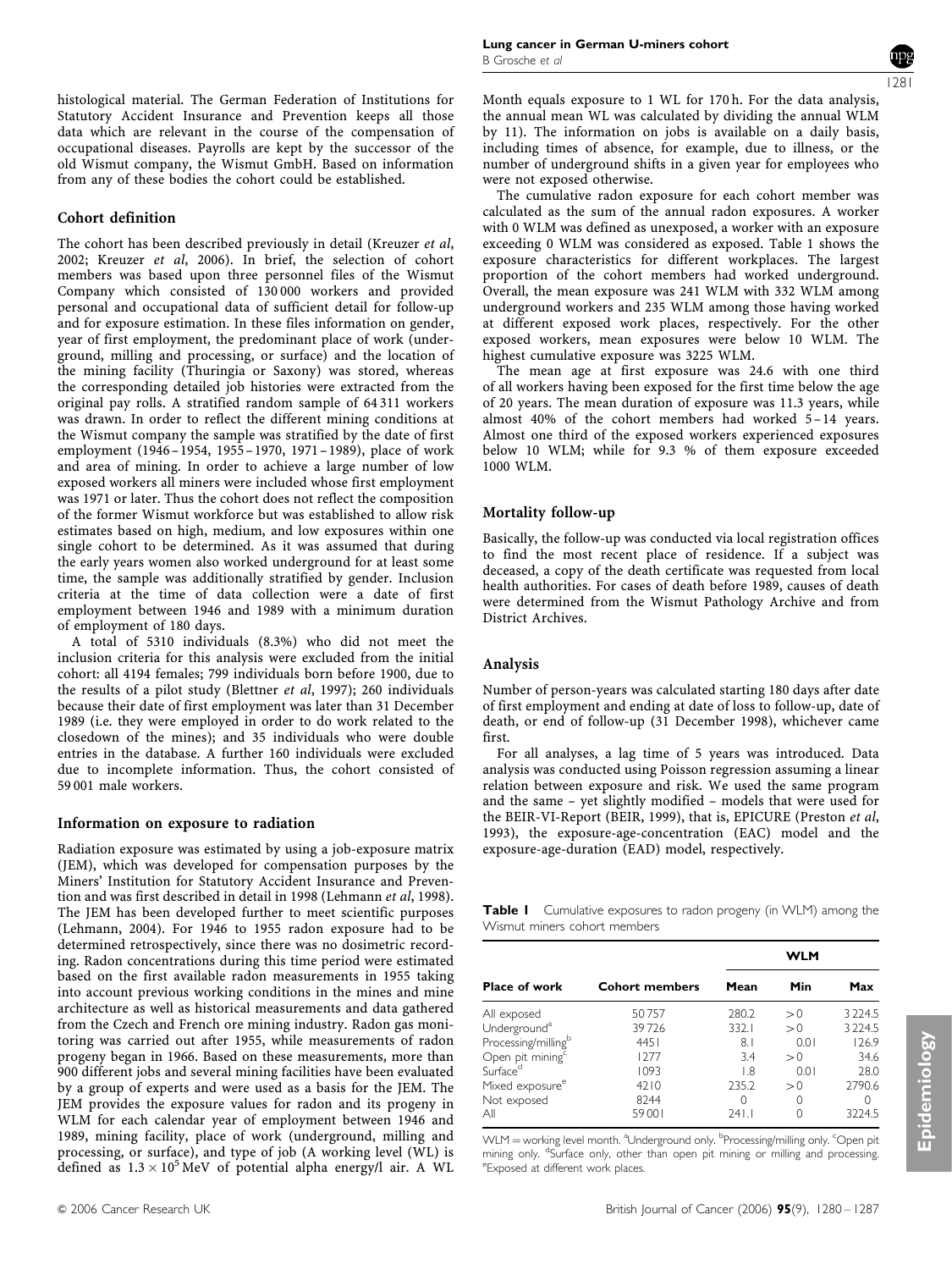#### Cohort definition

The cohort has been described previously in detail (Kreuzer et al, 2002; Kreuzer et al, 2006). In brief, the selection of cohort members was based upon three personnel files of the Wismut Company which consisted of 130 000 workers and provided personal and occupational data of sufficient detail for follow-up and for exposure estimation. In these files information on gender, year of first employment, the predominant place of work (underground, milling and processing, or surface) and the location of the mining facility (Thuringia or Saxony) was stored, whereas the corresponding detailed job histories were extracted from the original pay rolls. A stratified random sample of 64 311 workers was drawn. In order to reflect the different mining conditions at the Wismut company the sample was stratified by the date of first employment (1946–1954, 1955–1970, 1971–1989), place of work and area of mining. In order to achieve a large number of low exposed workers all miners were included whose first employment was 1971 or later. Thus the cohort does not reflect the composition of the former Wismut workforce but was established to allow risk estimates based on high, medium, and low exposures within one single cohort to be determined. As it was assumed that during the early years women also worked underground for at least some time, the sample was additionally stratified by gender. Inclusion criteria at the time of data collection were a date of first employment between 1946 and 1989 with a minimum duration of employment of 180 days.

A total of 5310 individuals (8.3%) who did not meet the inclusion criteria for this analysis were excluded from the initial cohort: all 4194 females; 799 individuals born before 1900, due to the results of a pilot study (Blettner et al, 1997); 260 individuals because their date of first employment was later than 31 December 1989 (i.e. they were employed in order to do work related to the closedown of the mines); and 35 individuals who were double entries in the database. A further 160 individuals were excluded due to incomplete information. Thus, the cohort consisted of 59 001 male workers.

#### Information on exposure to radiation

Radiation exposure was estimated by using a job-exposure matrix (JEM), which was developed for compensation purposes by the Miners' Institution for Statutory Accident Insurance and Prevention and was first described in detail in 1998 (Lehmann et al, 1998). The JEM has been developed further to meet scientific purposes (Lehmann, 2004). For 1946 to 1955 radon exposure had to be determined retrospectively, since there was no dosimetric recording. Radon concentrations during this time period were estimated based on the first available radon measurements in 1955 taking into account previous working conditions in the mines and mine architecture as well as historical measurements and data gathered from the Czech and French ore mining industry. Radon gas monitoring was carried out after 1955, while measurements of radon progeny began in 1966. Based on these measurements, more than 900 different jobs and several mining facilities have been evaluated by a group of experts and were used as a basis for the JEM. The JEM provides the exposure values for radon and its progeny in WLM for each calendar year of employment between 1946 and 1989, mining facility, place of work (underground, milling and processing, or surface), and type of job (A working level (WL) is defined as  $1.3 \times 10^5$  MeV of potential alpha energy/l air. A WL



Month equals exposure to 1 WL for 170 h. For the data analysis, the annual mean WL was calculated by dividing the annual WLM by 11). The information on jobs is available on a daily basis, including times of absence, for example, due to illness, or the number of underground shifts in a given year for employees who were not exposed otherwise.

The cumulative radon exposure for each cohort member was calculated as the sum of the annual radon exposures. A worker with 0 WLM was defined as unexposed, a worker with an exposure exceeding 0 WLM was considered as exposed. Table 1 shows the exposure characteristics for different workplaces. The largest proportion of the cohort members had worked underground. Overall, the mean exposure was 241 WLM with 332 WLM among underground workers and 235 WLM among those having worked at different exposed work places, respectively. For the other exposed workers, mean exposures were below 10 WLM. The highest cumulative exposure was 3225 WLM.

The mean age at first exposure was 24.6 with one third of all workers having been exposed for the first time below the age of 20 years. The mean duration of exposure was 11.3 years, while almost 40% of the cohort members had worked 5–14 years. Almost one third of the exposed workers experienced exposures below 10 WLM; while for 9.3 % of them exposure exceeded 1000 WLM.

## Mortality follow-up

Basically, the follow-up was conducted via local registration offices to find the most recent place of residence. If a subject was deceased, a copy of the death certificate was requested from local health authorities. For cases of death before 1989, causes of death were determined from the Wismut Pathology Archive and from District Archives.

#### Analysis

Number of person-years was calculated starting 180 days after date of first employment and ending at date of loss to follow-up, date of death, or end of follow-up (31 December 1998), whichever came first.

For all analyses, a lag time of 5 years was introduced. Data analysis was conducted using Poisson regression assuming a linear relation between exposure and risk. We used the same program and the same – yet slightly modified – models that were used for the BEIR-VI-Report (BEIR, 1999), that is, EPICURE (Preston et al, 1993), the exposure-age-concentration (EAC) model and the exposure-age-duration (EAD) model, respectively.

Table I Cumulative exposures to radon progeny (in WLM) among the Wismut miners cohort members

|                                 |                       | <b>WLM</b> |      |           |
|---------------------------------|-----------------------|------------|------|-----------|
| <b>Place of work</b>            | <b>Cohort members</b> | Mean       | Min  | Max       |
| All exposed                     | 50757                 | 280.2      | > 0  | 3224.5    |
| Underground <sup>a</sup>        | 39726                 | 332.1      | > 0  | 3 2 2 4.5 |
| Processing/milling <sup>b</sup> | 4451                  | 8.1        | 0.01 | 126.9     |
| Open pit mining <sup>c</sup>    | 1277                  | 3.4        | > 0  | 34.6      |
| Surface <sup>d</sup>            | 1093                  | 1.8        | 0.01 | 28.0      |
| Mixed exposure <sup>e</sup>     | 4210                  | 235.2      | > 0  | 2790.6    |
| Not exposed                     | 8244                  | 0          |      | 0         |
| All                             | 59001                 | 241.1      |      | 3224.5    |

WLM = working level month. <sup>a</sup>Underground only. <sup>b</sup>Processing/milling only. <sup>c</sup>Open pit mining only. <sup>d</sup>Surface only, other than open pit mining or milling and processing.<br>EExposed at different work places Exposed at different work places.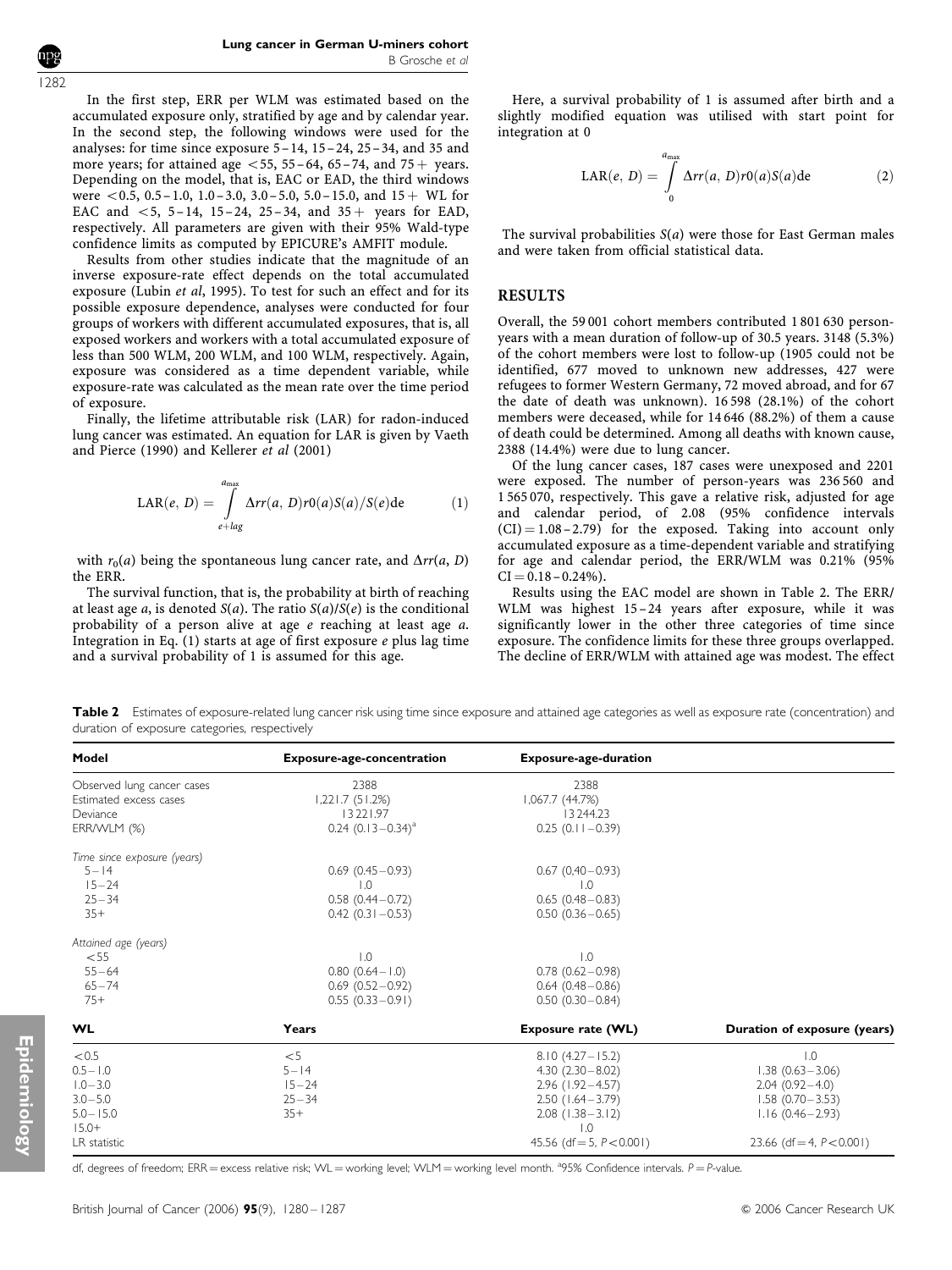1282

In the first step, ERR per WLM was estimated based on the accumulated exposure only, stratified by age and by calendar year. In the second step, the following windows were used for the analyses: for time since exposure  $5-14$ ,  $15-24$ ,  $25-34$ , and 35 and more years; for attained age  $<$  55, 55–64, 65–74, and 75  $+$  years. Depending on the model, that is, EAC or EAD, the third windows were  $\langle 0.5, 0.5-1.0, 1.0-3.0, 3.0-5.0, 5.0-15.0,$  and  $15+$  WL for EAC and  $< 5$ , 5–14, 15–24, 25–34, and 35 + years for EAD, respectively. All parameters are given with their 95% Wald-type confidence limits as computed by EPICURE's AMFIT module.

Results from other studies indicate that the magnitude of an inverse exposure-rate effect depends on the total accumulated exposure (Lubin et al, 1995). To test for such an effect and for its possible exposure dependence, analyses were conducted for four groups of workers with different accumulated exposures, that is, all exposed workers and workers with a total accumulated exposure of less than 500 WLM, 200 WLM, and 100 WLM, respectively. Again, exposure was considered as a time dependent variable, while exposure-rate was calculated as the mean rate over the time period of exposure.

Finally, the lifetime attributable risk (LAR) for radon-induced lung cancer was estimated. An equation for LAR is given by Vaeth and Pierce (1990) and Kellerer et al (2001)

$$
LAR(e, D) = \int_{e+lag}^{a_{max}} \Delta rr(a, D)r0(a)S(a)/S(e)de
$$
 (1)

with  $r_0(a)$  being the spontaneous lung cancer rate, and  $\Delta rr(a, D)$ the ERR.

The survival function, that is, the probability at birth of reaching at least age a, is denoted  $S(a)$ . The ratio  $S(a)/S(e)$  is the conditional probability of a person alive at age e reaching at least age a. Integration in Eq.  $(1)$  starts at age of first exposure  $e$  plus lag time and a survival probability of 1 is assumed for this age.

Here, a survival probability of 1 is assumed after birth and a slightly modified equation was utilised with start point for integration at 0

$$
LAR(e, D) = \int_{0}^{a_{\text{max}}} \Delta rr(a, D)r0(a)S(a) \text{d}e \qquad (2)
$$

The survival probabilities  $S(a)$  were those for East German males and were taken from official statistical data.

#### RESULTS

Overall, the 59 001 cohort members contributed 1 801 630 personyears with a mean duration of follow-up of 30.5 years. 3148 (5.3%) of the cohort members were lost to follow-up (1905 could not be identified, 677 moved to unknown new addresses, 427 were refugees to former Western Germany, 72 moved abroad, and for 67 the date of death was unknown). 16 598 (28.1%) of the cohort members were deceased, while for 14 646 (88.2%) of them a cause of death could be determined. Among all deaths with known cause, 2388 (14.4%) were due to lung cancer.

Of the lung cancer cases, 187 cases were unexposed and 2201 were exposed. The number of person-years was 236 560 and 1 565 070, respectively. This gave a relative risk, adjusted for age and calendar period, of 2.08 (95% confidence intervals  $(CI) = 1.08 - 2.79$  for the exposed. Taking into account only accumulated exposure as a time-dependent variable and stratifying for age and calendar period, the ERR/WLM was 0.21% (95%  $CI = 0.18 - 0.24\%$ ).

Results using the EAC model are shown in Table 2. The ERR/ WLM was highest 15-24 years after exposure, while it was significantly lower in the other three categories of time since exposure. The confidence limits for these three groups overlapped. The decline of ERR/WLM with attained age was modest. The effect

Table 2 Estimates of exposure-related lung cancer risk using time since exposure and attained age categories as well as exposure rate (concentration) and duration of exposure categories, respectively

| Model                                                                                         | <b>Exposure-age-concentration</b>                                                      | <b>Exposure-age-duration</b>                                                                                                                                         |                                                                                                                                             |
|-----------------------------------------------------------------------------------------------|----------------------------------------------------------------------------------------|----------------------------------------------------------------------------------------------------------------------------------------------------------------------|---------------------------------------------------------------------------------------------------------------------------------------------|
| Observed lung cancer cases<br>Estimated excess cases<br>Deviance<br>ERR/WLM (%)               | 2388<br>1,221.7(51.2%)<br>13 22 1.97<br>$0.24$ $(0.13 - 0.34)^a$                       | 2388<br>1,067.7 (44.7%)<br>13244.23<br>$0.25(0.11 - 0.39)$                                                                                                           |                                                                                                                                             |
| Time since exposure (years)<br>$5 - 14$<br>$15 - 24$<br>$25 - 34$<br>$35+$                    | $0.69(0.45 - 0.93)$<br>$\overline{0}$ .<br>$0.58(0.44 - 0.72)$<br>$0.42$ (0.31 - 0.53) | $0.67(0,40-0.93)$<br>$\overline{1.0}$<br>$0.65(0.48 - 0.83)$<br>$0.50(0.36 - 0.65)$                                                                                  |                                                                                                                                             |
| Attained age (years)<br>$<$ 55<br>$55 - 64$<br>$65 - 74$<br>$75+$                             | $\overline{0}$ .<br>$0.80(0.64 - 1.0)$<br>$0.69(0.52 - 0.92)$<br>$0.55(0.33-0.91)$     | $\overline{1.0}$<br>$0.78(0.62 - 0.98)$<br>$0.64$ $(0.48 - 0.86)$<br>$0.50(0.30 - 0.84)$                                                                             |                                                                                                                                             |
| <b>WL</b>                                                                                     | Years                                                                                  | Exposure rate (WL)                                                                                                                                                   | Duration of exposure (years)                                                                                                                |
| < 0.5<br>$0.5 - 1.0$<br>$1.0 - 3.0$<br>$3.0 - 5.0$<br>$5.0 - 15.0$<br>$15.0+$<br>LR statistic | $<$ 5<br>$5 - 14$<br>$15 - 24$<br>$25 - 34$<br>$35+$                                   | $8.10(4.27 - 15.2)$<br>$4.30(2.30-8.02)$<br>$2.96$ (1.92 - 4.57)<br>$2.50$ (1.64 - 3.79)<br>$2.08$ (1.38 - 3.12)<br>$\overline{1.0}$<br>45.56 (df = 5, $P < 0.001$ ) | $\overline{1.0}$<br>$1.38(0.63 - 3.06)$<br>$2.04(0.92 - 4.0)$<br>$1.58(0.70 - 3.53)$<br>$1.16(0.46 - 2.93)$<br>23.66 (df = 4, $P < 0.001$ ) |

df, degrees of freedom; ERR = excess relative risk; WL = working level; WLM = working level month. <sup>a</sup>95% Confidence intervals.  $P = P$ -value.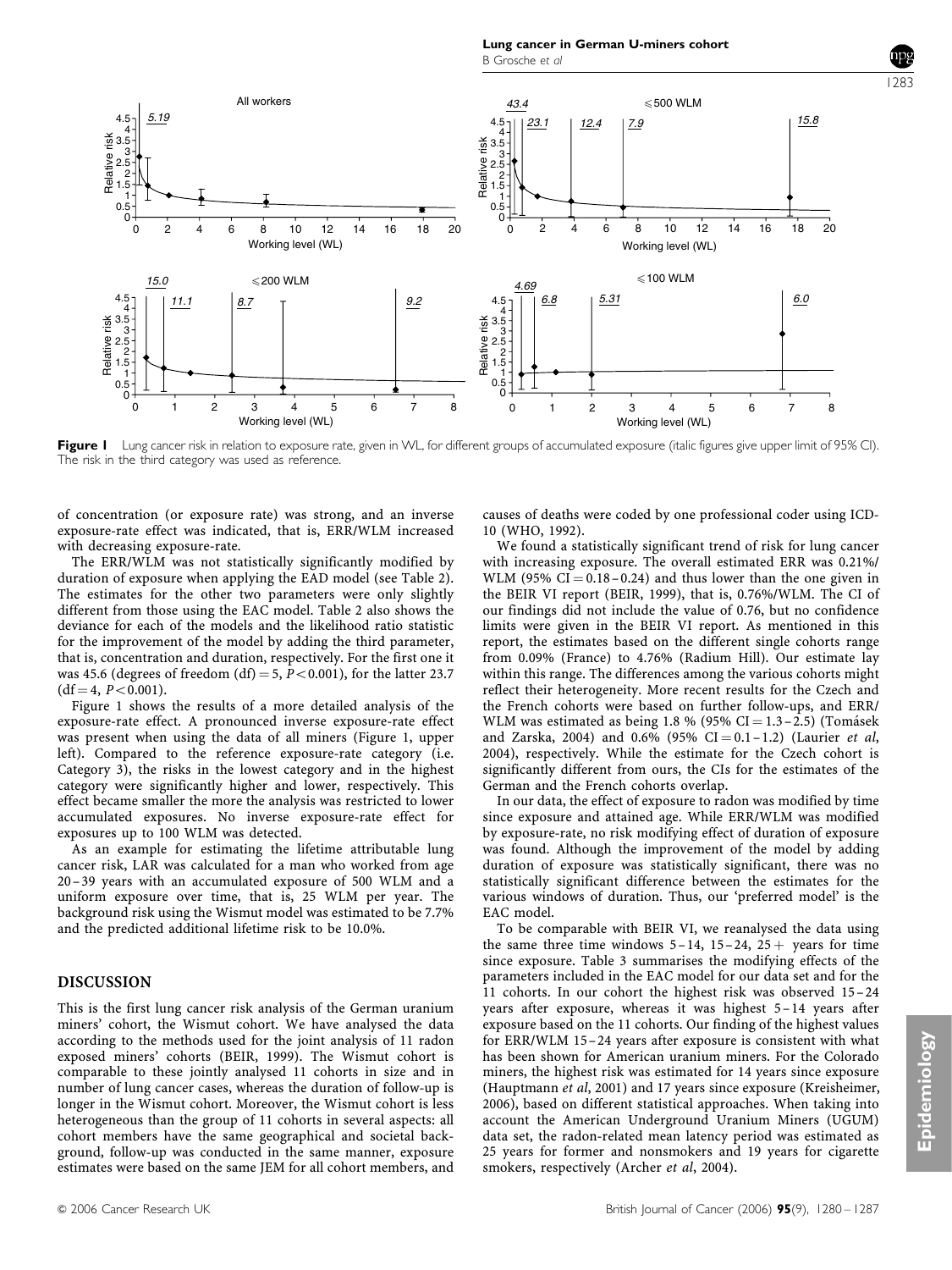

Figure I Lung cancer risk in relation to exposure rate, given in WL, for different groups of accumulated exposure (italic figures give upper limit of 95% CI). The risk in the third category was used as reference.

of concentration (or exposure rate) was strong, and an inverse exposure-rate effect was indicated, that is, ERR/WLM increased with decreasing exposure-rate.

The ERR/WLM was not statistically significantly modified by duration of exposure when applying the EAD model (see Table 2). The estimates for the other two parameters were only slightly different from those using the EAC model. Table 2 also shows the deviance for each of the models and the likelihood ratio statistic for the improvement of the model by adding the third parameter, that is, concentration and duration, respectively. For the first one it was 45.6 (degrees of freedom (df) = 5,  $\overline{P}$  < 0.001), for the latter 23.7  $(df=4, P<0.001).$ 

Figure 1 shows the results of a more detailed analysis of the exposure-rate effect. A pronounced inverse exposure-rate effect was present when using the data of all miners (Figure 1, upper left). Compared to the reference exposure-rate category (i.e. Category 3), the risks in the lowest category and in the highest category were significantly higher and lower, respectively. This effect became smaller the more the analysis was restricted to lower accumulated exposures. No inverse exposure-rate effect for exposures up to 100 WLM was detected.

As an example for estimating the lifetime attributable lung cancer risk, LAR was calculated for a man who worked from age 20–39 years with an accumulated exposure of 500 WLM and a uniform exposure over time, that is, 25 WLM per year. The background risk using the Wismut model was estimated to be 7.7% and the predicted additional lifetime risk to be 10.0%.

## DISCUSSION

This is the first lung cancer risk analysis of the German uranium miners' cohort, the Wismut cohort. We have analysed the data according to the methods used for the joint analysis of 11 radon exposed miners' cohorts (BEIR, 1999). The Wismut cohort is comparable to these jointly analysed 11 cohorts in size and in number of lung cancer cases, whereas the duration of follow-up is longer in the Wismut cohort. Moreover, the Wismut cohort is less heterogeneous than the group of 11 cohorts in several aspects: all cohort members have the same geographical and societal background, follow-up was conducted in the same manner, exposure estimates were based on the same JEM for all cohort members, and causes of deaths were coded by one professional coder using ICD-10 (WHO, 1992).

We found a statistically significant trend of risk for lung cancer with increasing exposure. The overall estimated ERR was 0.21%/ WLM (95% CI  $= 0.18 - 0.24$ ) and thus lower than the one given in the BEIR VI report (BEIR, 1999), that is, 0.76%/WLM. The CI of our findings did not include the value of 0.76, but no confidence limits were given in the BEIR VI report. As mentioned in this report, the estimates based on the different single cohorts range from 0.09% (France) to 4.76% (Radium Hill). Our estimate lay within this range. The differences among the various cohorts might reflect their heterogeneity. More recent results for the Czech and the French cohorts were based on further follow-ups, and ERR/ WLM was estimated as being 1.8 % (95% CI =  $1.3 - 2.5$ ) (Tomásek and Zarska, 2004) and 0.6% (95% CI = 0.1 - 1.2) (Laurier et al, 2004), respectively. While the estimate for the Czech cohort is significantly different from ours, the CIs for the estimates of the German and the French cohorts overlap.

In our data, the effect of exposure to radon was modified by time since exposure and attained age. While ERR/WLM was modified by exposure-rate, no risk modifying effect of duration of exposure was found. Although the improvement of the model by adding duration of exposure was statistically significant, there was no statistically significant difference between the estimates for the various windows of duration. Thus, our 'preferred model' is the EAC model.

To be comparable with BEIR VI, we reanalysed the data using the same three time windows  $5-14$ ,  $15-24$ ,  $25+$  years for time since exposure. Table 3 summarises the modifying effects of the parameters included in the EAC model for our data set and for the 11 cohorts. In our cohort the highest risk was observed 15– 24 years after exposure, whereas it was highest 5– 14 years after exposure based on the 11 cohorts. Our finding of the highest values for ERR/WLM 15–24 years after exposure is consistent with what has been shown for American uranium miners. For the Colorado miners, the highest risk was estimated for 14 years since exposure (Hauptmann et al, 2001) and 17 years since exposure (Kreisheimer, 2006), based on different statistical approaches. When taking into account the American Underground Uranium Miners (UGUM) data set, the radon-related mean latency period was estimated as 25 years for former and nonsmokers and 19 years for cigarette smokers, respectively (Archer et al, 2004).

1283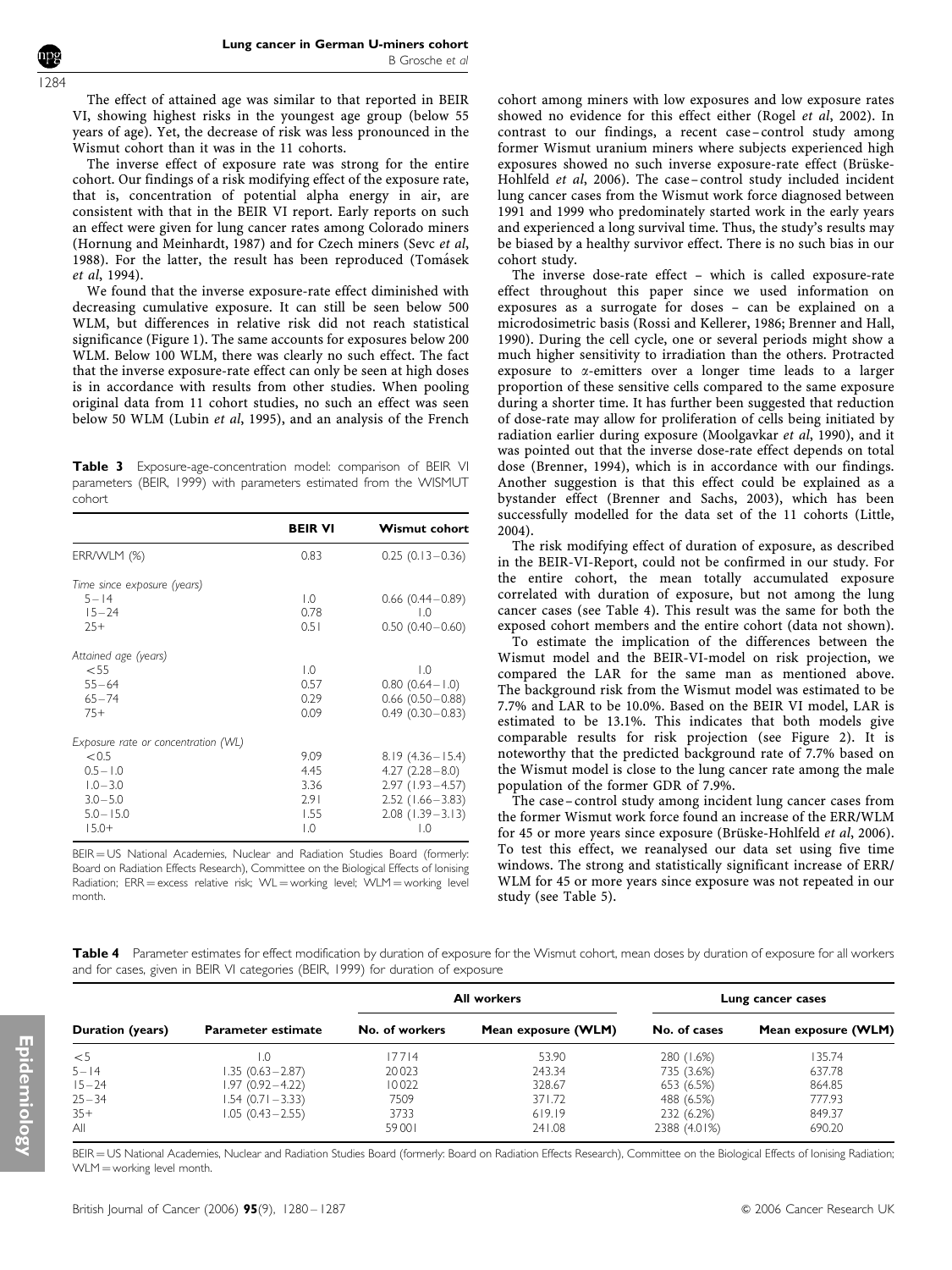The effect of attained age was similar to that reported in BEIR VI, showing highest risks in the youngest age group (below 55 years of age). Yet, the decrease of risk was less pronounced in the

Wismut cohort than it was in the 11 cohorts. The inverse effect of exposure rate was strong for the entire cohort. Our findings of a risk modifying effect of the exposure rate, that is, concentration of potential alpha energy in air, are consistent with that in the BEIR VI report. Early reports on such an effect were given for lung cancer rates among Colorado miners (Hornung and Meinhardt, 1987) and for Czech miners (Sevc et al, 1988). For the latter, the result has been reproduced (Tomásek et al, 1994).

We found that the inverse exposure-rate effect diminished with decreasing cumulative exposure. It can still be seen below 500 WLM, but differences in relative risk did not reach statistical significance (Figure 1). The same accounts for exposures below 200 WLM. Below 100 WLM, there was clearly no such effect. The fact that the inverse exposure-rate effect can only be seen at high doses is in accordance with results from other studies. When pooling original data from 11 cohort studies, no such an effect was seen below 50 WLM (Lubin et al, 1995), and an analysis of the French

Table 3 Exposure-age-concentration model: comparison of BEIR VI parameters (BEIR, 1999) with parameters estimated from the WISMUT cohort

| $0.25(0.13-0.36)$      |
|------------------------|
|                        |
| $0.66(0.44 - 0.89)$    |
| $\overline{10}$        |
| $0.50(0.40 - 0.60)$    |
|                        |
| $\overline{1.0}$       |
| $0.80$ $(0.64 - 1.0)$  |
| $0.66$ (0.50 $-0.88$ ) |
| $0.49(0.30 - 0.83)$    |
|                        |
| $8.19(4.36 - 15.4)$    |
| $4.27(2.28-8.0)$       |
| $2.97(1.93 - 4.57)$    |
| $2.52$ (1.66 - 3.83)   |
| $2.08$ (1.39 - 3.13)   |
| $\overline{0}$ .       |
|                        |

BEIR = US National Academies, Nuclear and Radiation Studies Board (formerly: Board on Radiation Effects Research), Committee on the Biological Effects of Ionising Radiation;  $ERR = excess$  relative risk;  $WL = working$  level;  $WLM = working$  level month.

cohort among miners with low exposures and low exposure rates showed no evidence for this effect either (Rogel et al, 2002). In contrast to our findings, a recent case–control study among former Wismut uranium miners where subjects experienced high exposures showed no such inverse exposure-rate effect (Brüske-Hohlfeld et al, 2006). The case– control study included incident lung cancer cases from the Wismut work force diagnosed between 1991 and 1999 who predominately started work in the early years and experienced a long survival time. Thus, the study's results may be biased by a healthy survivor effect. There is no such bias in our cohort study.

The inverse dose-rate effect – which is called exposure-rate effect throughout this paper since we used information on exposures as a surrogate for doses – can be explained on a microdosimetric basis (Rossi and Kellerer, 1986; Brenner and Hall, 1990). During the cell cycle, one or several periods might show a much higher sensitivity to irradiation than the others. Protracted exposure to a-emitters over a longer time leads to a larger proportion of these sensitive cells compared to the same exposure during a shorter time. It has further been suggested that reduction of dose-rate may allow for proliferation of cells being initiated by radiation earlier during exposure (Moolgavkar et al, 1990), and it was pointed out that the inverse dose-rate effect depends on total dose (Brenner, 1994), which is in accordance with our findings. Another suggestion is that this effect could be explained as a bystander effect (Brenner and Sachs, 2003), which has been successfully modelled for the data set of the 11 cohorts (Little, 2004).

The risk modifying effect of duration of exposure, as described in the BEIR-VI-Report, could not be confirmed in our study. For the entire cohort, the mean totally accumulated exposure correlated with duration of exposure, but not among the lung cancer cases (see Table 4). This result was the same for both the exposed cohort members and the entire cohort (data not shown).

To estimate the implication of the differences between the Wismut model and the BEIR-VI-model on risk projection, we compared the LAR for the same man as mentioned above. The background risk from the Wismut model was estimated to be 7.7% and LAR to be 10.0%. Based on the BEIR VI model, LAR is estimated to be 13.1%. This indicates that both models give comparable results for risk projection (see Figure 2). It is noteworthy that the predicted background rate of 7.7% based on the Wismut model is close to the lung cancer rate among the male population of the former GDR of 7.9%.

The case– control study among incident lung cancer cases from the former Wismut work force found an increase of the ERR/WLM for 45 or more years since exposure (Brüske-Hohlfeld et al, 2006). To test this effect, we reanalysed our data set using five time windows. The strong and statistically significant increase of ERR/ WLM for 45 or more years since exposure was not repeated in our study (see Table 5).

Table 4 Parameter estimates for effect modification by duration of exposure for the Wismut cohort, mean doses by duration of exposure for all workers and for cases, given in BEIR VI categories (BEIR, 1999) for duration of exposure

|                  |                           | All workers    |                     | Lung cancer cases |                     |
|------------------|---------------------------|----------------|---------------------|-------------------|---------------------|
| Duration (years) | <b>Parameter estimate</b> | No. of workers | Mean exposure (WLM) | No. of cases      | Mean exposure (WLM) |
| $<$ 5            | L.O                       | 17714          | 53.90               | 280 (1.6%)        | 135.74              |
| $5 - 14$         | $1.35(0.63 - 2.87)$       | 20023          | 243.34              | 735 (3.6%)        | 637.78              |
| $15 - 24$        | $1.97(0.92 - 4.22)$       | 10022          | 328.67              | 653 (6.5%)        | 864.85              |
| $25 - 34$        | $1.54(0.71 - 3.33)$       | 7509           | 371.72              | 488 (6.5%)        | 777.93              |
| $35+$            | $1.05(0.43 - 2.55)$       | 3733           | 619.19              | 232 (6.2%)        | 849.37              |
| All              |                           | 59001          | 241.08              | 2388 (4.01%)      | 690.20              |

BEIR = US National Academies, Nuclear and Radiation Studies Board (formerly: Board on Radiation Effects Research), Committee on the Biological Effects of Ionising Radiation;  $WLM =$  working level month.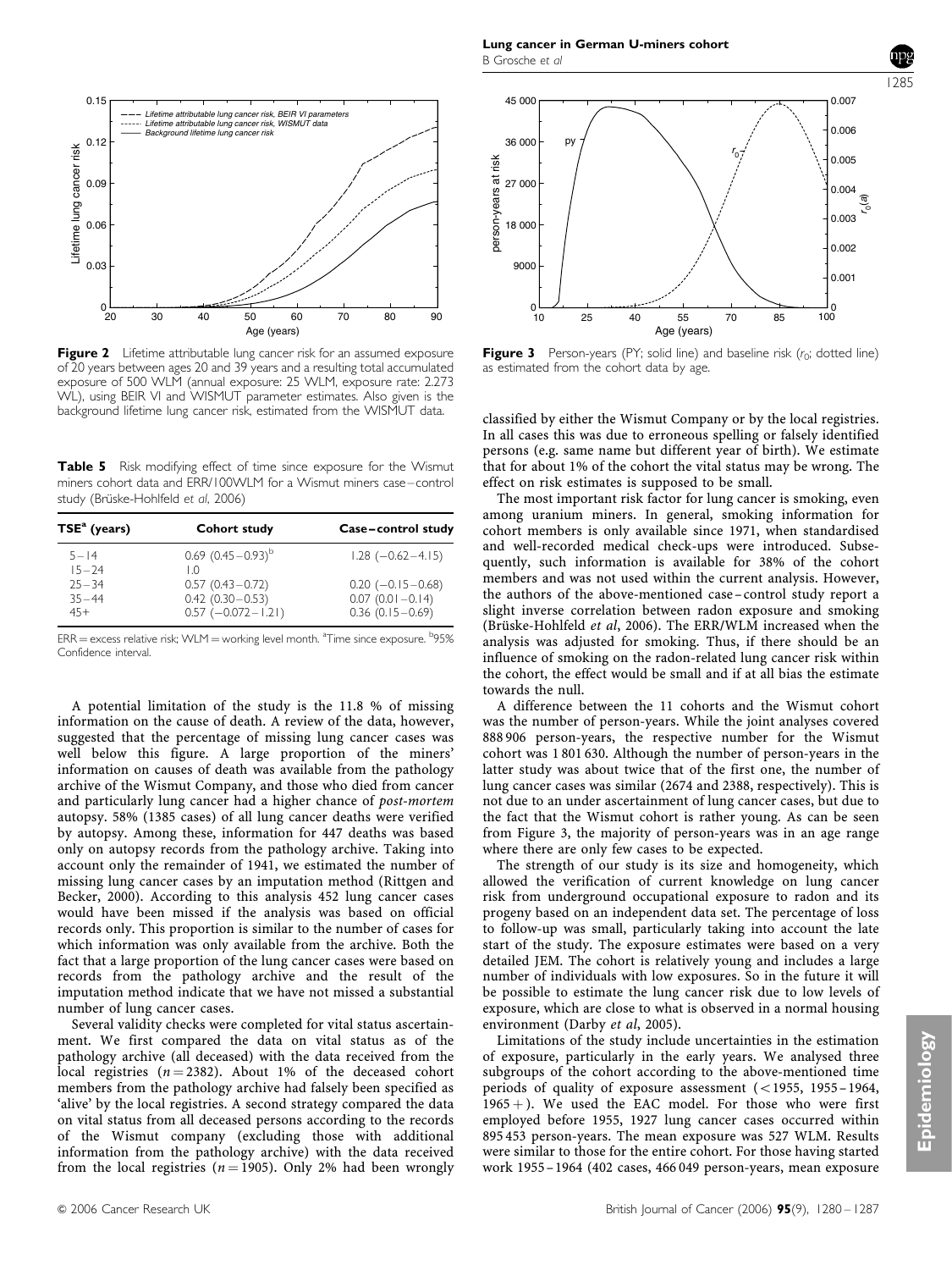

Figure 2 Lifetime attributable lung cancer risk for an assumed exposure of 20 years between ages 20 and 39 years and a resulting total accumulated exposure of 500 WLM (annual exposure: 25 WLM, exposure rate: 2.273 WL), using BEIR VI and WISMUT parameter estimates. Also given is the background lifetime lung cancer risk, estimated from the WISMUT data.

Table 5 Risk modifying effect of time since exposure for the Wismut miners cohort data and ERR/100WLM for a Wismut miners case–control study (Brüske-Hohlfeld et al, 2006)

| $TSEa$ (years)         | Cohort study                               | Case-control study                           |  |
|------------------------|--------------------------------------------|----------------------------------------------|--|
| $5 - 14$<br>$15 - 24$  | $0.69$ $(0.45-0.93)^{b}$<br>ΙO             | $1.28$ ( $-0.62-4.15$ )                      |  |
| $75 - 34$<br>$35 - 44$ | $0.57(0.43 - 0.72)$<br>$0.42(0.30 - 0.53)$ | $0.20$ (-0.15 - 0.68)<br>$0.07(0.01 - 0.14)$ |  |
| $45+$                  | $0.57$ (-0.072 - 1.21)                     | $0.36(0.15 - 0.69)$                          |  |

 $\text{ERR} =$  excess relative risk; WLM  $=$  working level month.  $\text{aTime}$  since exposure.  $\text{b95\%}$ Confidence interval.

A potential limitation of the study is the 11.8 % of missing information on the cause of death. A review of the data, however, suggested that the percentage of missing lung cancer cases was well below this figure. A large proportion of the miners' information on causes of death was available from the pathology archive of the Wismut Company, and those who died from cancer and particularly lung cancer had a higher chance of post-mortem autopsy. 58% (1385 cases) of all lung cancer deaths were verified by autopsy. Among these, information for 447 deaths was based only on autopsy records from the pathology archive. Taking into account only the remainder of 1941, we estimated the number of missing lung cancer cases by an imputation method (Rittgen and Becker, 2000). According to this analysis 452 lung cancer cases would have been missed if the analysis was based on official records only. This proportion is similar to the number of cases for which information was only available from the archive. Both the fact that a large proportion of the lung cancer cases were based on records from the pathology archive and the result of the imputation method indicate that we have not missed a substantial number of lung cancer cases.

Several validity checks were completed for vital status ascertainment. We first compared the data on vital status as of the pathology archive (all deceased) with the data received from the local registries  $(n = 2382)$ . About 1% of the deceased cohort members from the pathology archive had falsely been specified as 'alive' by the local registries. A second strategy compared the data on vital status from all deceased persons according to the records of the Wismut company (excluding those with additional information from the pathology archive) with the data received from the local registries ( $n = 1905$ ). Only 2% had been wrongly



Figure 3 Person-years (PY; solid line) and baseline risk  $(r_0;$  dotted line) as estimated from the cohort data by age.

classified by either the Wismut Company or by the local registries. In all cases this was due to erroneous spelling or falsely identified persons (e.g. same name but different year of birth). We estimate that for about 1% of the cohort the vital status may be wrong. The effect on risk estimates is supposed to be small.

The most important risk factor for lung cancer is smoking, even among uranium miners. In general, smoking information for cohort members is only available since 1971, when standardised and well-recorded medical check-ups were introduced. Subsequently, such information is available for 38% of the cohort members and was not used within the current analysis. However, the authors of the above-mentioned case–control study report a slight inverse correlation between radon exposure and smoking (Brüske-Hohlfeld et al, 2006). The ERR/WLM increased when the analysis was adjusted for smoking. Thus, if there should be an influence of smoking on the radon-related lung cancer risk within the cohort, the effect would be small and if at all bias the estimate towards the null.

A difference between the 11 cohorts and the Wismut cohort was the number of person-years. While the joint analyses covered 888 906 person-years, the respective number for the Wismut cohort was 1 801 630. Although the number of person-years in the latter study was about twice that of the first one, the number of lung cancer cases was similar (2674 and 2388, respectively). This is not due to an under ascertainment of lung cancer cases, but due to the fact that the Wismut cohort is rather young. As can be seen from Figure 3, the majority of person-years was in an age range where there are only few cases to be expected.

The strength of our study is its size and homogeneity, which allowed the verification of current knowledge on lung cancer risk from underground occupational exposure to radon and its progeny based on an independent data set. The percentage of loss to follow-up was small, particularly taking into account the late start of the study. The exposure estimates were based on a very detailed JEM. The cohort is relatively young and includes a large number of individuals with low exposures. So in the future it will be possible to estimate the lung cancer risk due to low levels of exposure, which are close to what is observed in a normal housing environment (Darby et al, 2005).

Limitations of the study include uncertainties in the estimation of exposure, particularly in the early years. We analysed three subgroups of the cohort according to the above-mentioned time periods of quality of exposure assessment  $(<1955, 1955-1964,$  $1965 +$ ). We used the EAC model. For those who were first employed before 1955, 1927 lung cancer cases occurred within 895 453 person-years. The mean exposure was 527 WLM. Results were similar to those for the entire cohort. For those having started work 1955– 1964 (402 cases, 466 049 person-years, mean exposure

1285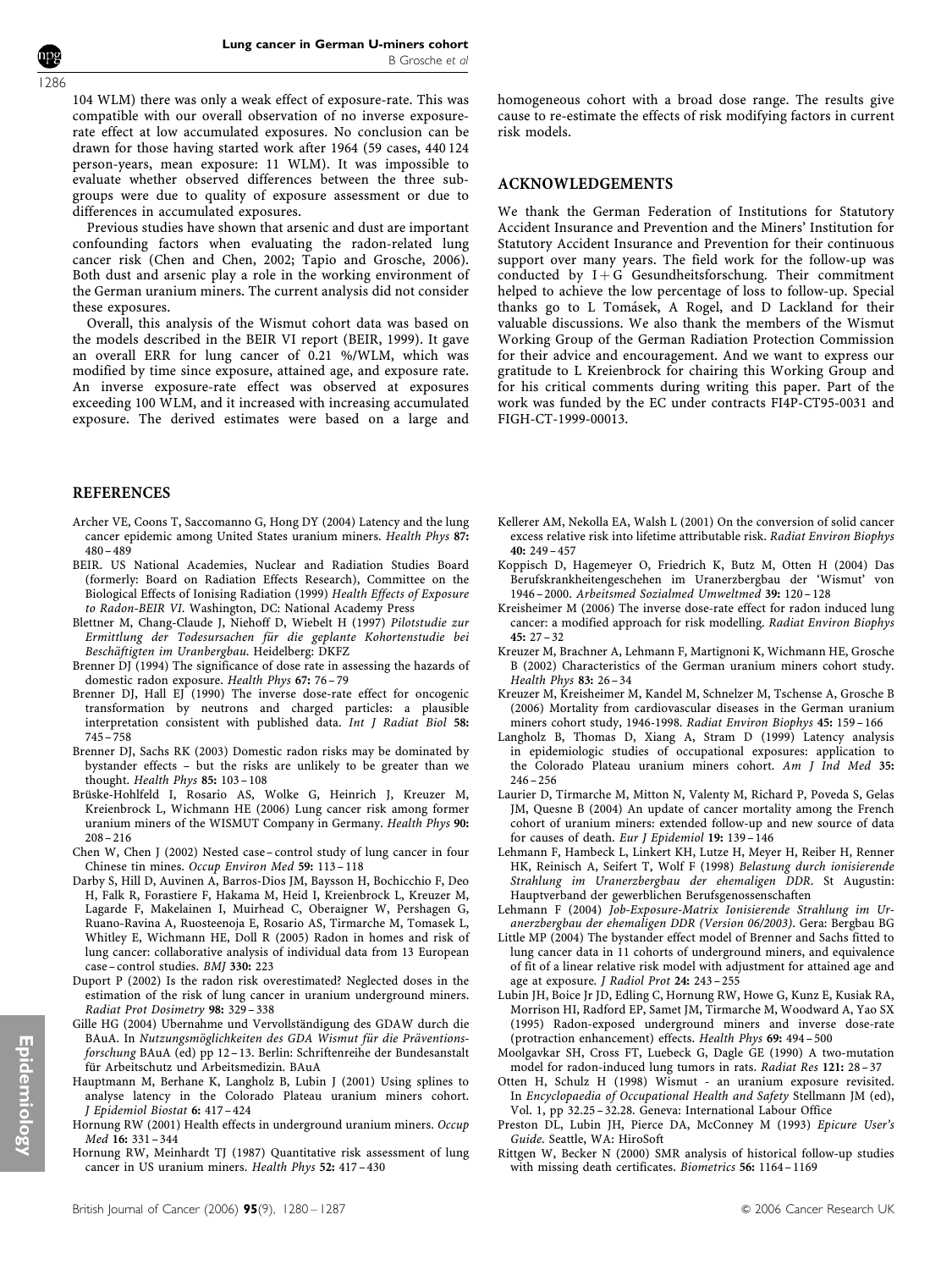1286

104 WLM) there was only a weak effect of exposure-rate. This was compatible with our overall observation of no inverse exposurerate effect at low accumulated exposures. No conclusion can be drawn for those having started work after 1964 (59 cases, 440 124 person-years, mean exposure: 11 WLM). It was impossible to evaluate whether observed differences between the three subgroups were due to quality of exposure assessment or due to differences in accumulated exposures.

Previous studies have shown that arsenic and dust are important confounding factors when evaluating the radon-related lung cancer risk (Chen and Chen, 2002; Tapio and Grosche, 2006). Both dust and arsenic play a role in the working environment of the German uranium miners. The current analysis did not consider these exposures.

Overall, this analysis of the Wismut cohort data was based on the models described in the BEIR VI report (BEIR, 1999). It gave an overall ERR for lung cancer of 0.21 %/WLM, which was modified by time since exposure, attained age, and exposure rate. An inverse exposure-rate effect was observed at exposures exceeding 100 WLM, and it increased with increasing accumulated exposure. The derived estimates were based on a large and

#### REFERENCES

- Archer VE, Coons T, Saccomanno G, Hong DY (2004) Latency and the lung cancer epidemic among United States uranium miners. Health Phys 87:  $480 - 489$
- BEIR. US National Academies, Nuclear and Radiation Studies Board (formerly: Board on Radiation Effects Research), Committee on the Biological Effects of Ionising Radiation (1999) Health Effects of Exposure to Radon-BEIR VI. Washington, DC: National Academy Press
- Blettner M, Chang-Claude J, Niehoff D, Wiebelt H (1997) Pilotstudie zur Ermittlung der Todesursachen für die geplante Kohortenstudie bei Beschäftigten im Uranbergbau. Heidelberg: DKFZ
- Brenner DJ (1994) The significance of dose rate in assessing the hazards of domestic radon exposure. Health Phys 67: 76 – 79
- Brenner DJ, Hall EJ (1990) The inverse dose-rate effect for oncogenic transformation by neutrons and charged particles: a plausible interpretation consistent with published data. Int J Radiat Biol 58: 745 – 758
- Brenner DJ, Sachs RK (2003) Domestic radon risks may be dominated by bystander effects – but the risks are unlikely to be greater than we thought. Health Phys 85: 103 – 108
- Brüske-Hohlfeld I, Rosario AS, Wolke G, Heinrich J, Kreuzer M, Kreienbrock L, Wichmann HE (2006) Lung cancer risk among former uranium miners of the WISMUT Company in Germany. Health Phys 90:  $208 - 216$
- Chen W, Chen J (2002) Nested case control study of lung cancer in four Chinese tin mines. Occup Environ Med 59: 113 – 118
- Darby S, Hill D, Auvinen A, Barros-Dios JM, Baysson H, Bochicchio F, Deo H, Falk R, Forastiere F, Hakama M, Heid I, Kreienbrock L, Kreuzer M, Lagarde F, Makelainen I, Muirhead C, Oberaigner W, Pershagen G, Ruano-Ravina A, Ruosteenoja E, Rosario AS, Tirmarche M, Tomasek L, Whitley E, Wichmann HE, Doll R (2005) Radon in homes and risk of lung cancer: collaborative analysis of individual data from 13 European case – control studies. BMJ 330: 223
- Duport P (2002) Is the radon risk overestimated? Neglected doses in the estimation of the risk of lung cancer in uranium underground miners. Radiat Prot Dosimetry 98: 329 – 338
- Gille HG (2004) Ubernahme und Vervollständigung des GDAW durch die BAuA. In Nutzungsmöglichkeiten des GDA Wismut für die Präventionsforschung BAuA (ed) pp 12 – 13. Berlin: Schriftenreihe der Bundesanstalt für Arbeitschutz und Arbeitsmedizin. BAuA
- Hauptmann M, Berhane K, Langholz B, Lubin J (2001) Using splines to analyse latency in the Colorado Plateau uranium miners cohort. J Epidemiol Biostat 6: 417 – 424
- Hornung RW (2001) Health effects in underground uranium miners. Occup Med 16: 331 – 344
- Hornung RW, Meinhardt TJ (1987) Quantitative risk assessment of lung cancer in US uranium miners. Health Phys 52: 417 – 430

homogeneous cohort with a broad dose range. The results give cause to re-estimate the effects of risk modifying factors in current risk models.

#### ACKNOWLEDGEMENTS

We thank the German Federation of Institutions for Statutory Accident Insurance and Prevention and the Miners' Institution for Statutory Accident Insurance and Prevention for their continuous support over many years. The field work for the follow-up was conducted by  $I + G$  Gesundheitsforschung. Their commitment helped to achieve the low percentage of loss to follow-up. Special thanks go to L Tomásek, A Rogel, and D Lackland for their valuable discussions. We also thank the members of the Wismut Working Group of the German Radiation Protection Commission for their advice and encouragement. And we want to express our gratitude to L Kreienbrock for chairing this Working Group and for his critical comments during writing this paper. Part of the work was funded by the EC under contracts FI4P-CT95-0031 and FIGH-CT-1999-00013.

- Kellerer AM, Nekolla EA, Walsh L (2001) On the conversion of solid cancer excess relative risk into lifetime attributable risk. Radiat Environ Biophys 40: 249 – 457
- Koppisch D, Hagemeyer O, Friedrich K, Butz M, Otten H (2004) Das Berufskrankheitengeschehen im Uranerzbergbau der 'Wismut' von 1946 – 2000. Arbeitsmed Sozialmed Umweltmed 39: 120 – 128
- Kreisheimer M (2006) The inverse dose-rate effect for radon induced lung cancer: a modified approach for risk modelling. Radiat Environ Biophys  $45: 27 - 32$
- Kreuzer M, Brachner A, Lehmann F, Martignoni K, Wichmann HE, Grosche B (2002) Characteristics of the German uranium miners cohort study. Health Phys 83: 26 – 34
- Kreuzer M, Kreisheimer M, Kandel M, Schnelzer M, Tschense A, Grosche B (2006) Mortality from cardiovascular diseases in the German uranium miners cohort study, 1946-1998. Radiat Environ Biophys 45: 159 – 166
- Langholz B, Thomas D, Xiang A, Stram D (1999) Latency analysis in epidemiologic studies of occupational exposures: application to the Colorado Plateau uranium miners cohort. Am J Ind Med 35:  $246 - 256$
- Laurier D, Tirmarche M, Mitton N, Valenty M, Richard P, Poveda S, Gelas JM, Quesne B (2004) An update of cancer mortality among the French cohort of uranium miners: extended follow-up and new source of data for causes of death. Eur J Epidemiol 19: 139 – 146
- Lehmann F, Hambeck L, Linkert KH, Lutze H, Meyer H, Reiber H, Renner HK, Reinisch A, Seifert T, Wolf F (1998) Belastung durch ionisierende Strahlung im Uranerzbergbau der ehemaligen DDR. St Augustin: Hauptverband der gewerblichen Berufsgenossenschaften
- Lehmann F (2004) Job-Exposure-Matrix Ionisierende Strahlung im Uranerzbergbau der ehemaligen DDR (Version 06/2003). Gera: Bergbau BG
- Little MP (2004) The bystander effect model of Brenner and Sachs fitted to lung cancer data in 11 cohorts of underground miners, and equivalence of fit of a linear relative risk model with adjustment for attained age and age at exposure. J Radiol Prot 24: 243 – 255
- Lubin JH, Boice Jr JD, Edling C, Hornung RW, Howe G, Kunz E, Kusiak RA, Morrison HI, Radford EP, Samet JM, Tirmarche M, Woodward A, Yao SX (1995) Radon-exposed underground miners and inverse dose-rate (protraction enhancement) effects. Health Phys 69: 494 – 500
- Moolgavkar SH, Cross FT, Luebeck G, Dagle GE (1990) A two-mutation model for radon-induced lung tumors in rats. Radiat Res 121: 28 – 37
- Otten H, Schulz H (1998) Wismut an uranium exposure revisited. In Encyclopaedia of Occupational Health and Safety Stellmann JM (ed), Vol. 1, pp 32.25 – 32.28. Geneva: International Labour Office
- Preston DL, Lubin JH, Pierce DA, McConney M (1993) Epicure User's Guide. Seattle, WA: HiroSoft
- Rittgen W, Becker N (2000) SMR analysis of historical follow-up studies with missing death certificates. Biometrics 56: 1164 – 1169